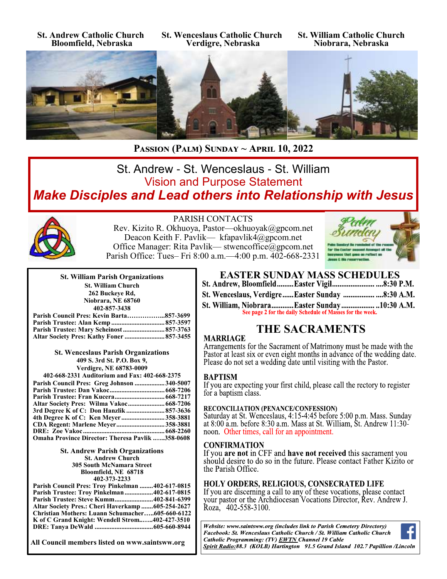**St. Andrew Catholic Church Bloomfield, Nebraska**

**St. Wenceslaus Catholic Church Verdigre, Nebraska**

**St. William Catholic Church Niobrara, Nebraska**



**Passion (Palm) Sunday ~ April 10, 2022** 

## St. Andrew - St. Wenceslaus - St. William Vision and Purpose Statement *Make Disciples and Lead others into Relationship with Jesus*



## PARISH CONTACTS

Rev. Kizito R. Okhuoya, Pastor—okhuoyak@gpcom.net Deacon Keith F. Pavlik— kfapavlik4@gpcom.net Office Manager: Rita Pavlik— stwencoffice@gpcom.net Parish Office: Tues– Fri 8:00 a.m.—4:00 p.m. 402-668-2331



| <b>St. William Parish Organizations</b> |
|-----------------------------------------|
| <b>St. William Church</b>               |
| 262 Buckeye Rd,                         |
| Niobrara, NE 68760                      |
| 402-857-3438                            |
|                                         |

| Parish Council Pres: Kevin Barta857-3699 |  |
|------------------------------------------|--|
|                                          |  |
|                                          |  |
|                                          |  |
|                                          |  |

**St. Wenceslaus Parish Organizations 409 S. 3rd St. P.O. Box 9, Verdigre, NE 68783-0009**

| 402-668-2331 Auditorium and Fax: 402-668-2375           |  |  |
|---------------------------------------------------------|--|--|
| Parish Council Pres: Greg Johnson 340-5007              |  |  |
|                                                         |  |  |
|                                                         |  |  |
|                                                         |  |  |
| 3rd Degree K of C: Don Hanzlik  857-3636                |  |  |
| 4th Degree K of C: Ken Meyer 358-3881                   |  |  |
| <b>CDA Regent: Marlene Meyer358-3881</b>                |  |  |
|                                                         |  |  |
| <b>Omaha Province Director: Theresa Pavlik 358-0608</b> |  |  |

**St. Andrew Parish Organizations St. Andrew Church 305 South McNamara Street Bloomfield, NE 68718 402-373-2233**

| Parish Council Pres: Troy Pinkelman 402-617-0815  |  |
|---------------------------------------------------|--|
| <b>Parish Trustee: Troy Pinkelman402-617-0815</b> |  |
| Parish Trustee: Steve Kumm402-841-6399            |  |
| Altar Society Pres.: Cheri Haverkamp 605-254-2627 |  |
| Christian Mothers: Luann Schumacher605-660-6122   |  |
| K of C Grand Knight: Wendell Strom402-427-3510    |  |
|                                                   |  |

**All Council members listed on www.saintsww.org**

# **EASTER SUNDAY MASS SCHEDULES**

St. William, Niobrara.............Easter Sunday.................... .. 10:30 A.M. See page 2 for the daily Schedule of Masses for the week.

## **THE SACRAMENTS**

## **MARRIAGE**

Arrangements for the Sacrament of Matrimony must be made with the Pastor at least six or even eight months in advance of the wedding date. Please do not set a wedding date until visiting with the Pastor.

## **BAPTISM**

If you are expecting your first child, please call the rectory to register for a baptism class.

## **RECONCILIATION (PENANCE/CONFESSION)**

Saturday at St. Wenceslaus, 4:15-4:45 before 5:00 p.m. Mass. Sunday at 8:00 a.m. before 8:30 a.m. Mass at St. William, St. Andrew  $11:30$ noon. Other times, call for an appointment.

## **CONFIRMATION**

If you are not in CFF and have not received this sacrament you should desire to do so in the future. Please contact Father Kizito or the Parish Office.

## **HOLY ORDERS, RELIGIOUS, CONSECRATED LIFE**

If you are discerning a call to any of these vocations, please contact your pastor or the Archdiocesan Vocations Director, Rev. Andrew J. Roza, 402-558-3100.

Website: www.saintsww.org (includes link to Parish Cemetery Directory) Facebook: St. Wenceslaus Catholic Church / St. William Catholic Church Catholic Programming: (TV) EWTN Channel 19 Cable Spirit Radio:88.3 (KOLB) Hartington 91.5 Grand Island 102.7 Papillion /Lincoln

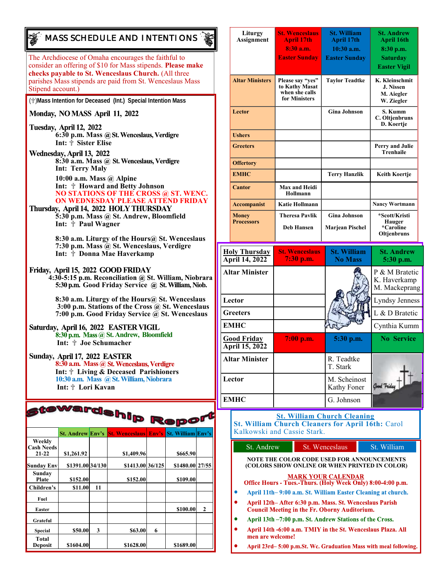## *MASS SCHEDULE AND INTENTIONS*

The Archdiocese of Omaha encourages the faithful to consider an offering of \$10 for Mass stipends. **Please make checks payable to St. Wenceslaus Church.** (All three parishes Mass stipends are paid from St. Wenceslaus Mass Stipend account.)

(✞)**Mass Intention for Deceased (Int.) Special Intention Mass**

#### Monday, NO MASS April 11, 2022

- Tuesday, April 12, 2022 **6:30 p.m. Mass Int:** ✞ **Sister Elise**
- Wednesday, April 13, 2022 **8:30 a.m. Mass @ Int: Terry Maly**

**10:00 a.m. Mass @ Alpine Int:** ✞ **Howard and Betty Johnson NO STATIONS OF THE CROSS @ ST. WENC. ON WEDNESDAY PLEASE ATTEND FRIDAY**

**5:30 p.m. Mass @ St. Andrew, Bloomfield Int:** ✞ **Paul Wagner**

> **8:30 a.m. Liturgy of the Hours@ St. Wenceslaus 7:30 p.m. Mass @ St. Wenceslaus, Verdigre Int:** ✞ **Donna Mae Haverkamp**

#### Friday, April 15, 2022 GOOD FRIDAY

 $4:30-5:15$  p.m. Reconciliation @ St. William, Niobrara 5:30 p.m. Good Friday Service @ St. William, Niob.

**8:30 a.m. Liturgy of the Hours@ St. Wenceslaus 3:00 p.m. Stations of the Cross @ St. Wenceslaus 7:00 p.m. Good Friday Service @ St. Wenceslaus**

Saturday, April 16, 2022 EASTER VIGIL **@St. Andrew, Bloomfield Int:** ✞ **Joe Schumacher**

**Sunday, April 17, 2022 EASTER 8:30 a.m. Mass @ Int:** ✞ **Living & Deceased Parishioners 10:30 a.m. Mass @ St. William, Niobrara Int:** ✞ **Lori Kavan**

| stewardship Report                       |                         |    |                       |       |                          |              |
|------------------------------------------|-------------------------|----|-----------------------|-------|--------------------------|--------------|
|                                          | <b>St. Andrew Env's</b> |    | <b>St. Wenceslaus</b> | Env's | <b>St. William Env's</b> |              |
| Weekly<br><b>Cash Needs</b><br>$21 - 22$ | \$1,261.92              |    | \$1,409.96            |       | \$665.90                 |              |
| <b>Sunday Env</b>                        | \$1391.00 34/130        |    | \$1413.00 36/125      |       | \$1480.00 27/55          |              |
| Sunday<br>Plate                          | \$152.00                |    | \$152.00              |       | \$109.00                 |              |
| Children's                               | \$11.00                 | 11 |                       |       |                          |              |
| Fuel                                     |                         |    |                       |       |                          |              |
| <b>Easter</b>                            |                         |    |                       |       | \$100.00                 | $\mathbf{2}$ |
| Grateful                                 |                         |    |                       |       |                          |              |
| Special                                  | \$50.00                 | 3  | \$63.00               | 6     |                          |              |
| Total<br>Deposit                         | \$1604.00               |    | \$1628.00             |       | \$1689.00                |              |

|          | Liturgy<br><b>Assignment</b>                  | <b>St. Wenceslaus</b><br><b>April 17th</b><br>8:30 a.m.<br><b>Easter Sunday</b> | <b>St. William</b><br>April 17th<br>10:30 a.m.<br><b>Easter Sunday</b> | <b>St. Andrew</b><br><b>April 16th</b><br>8:30 p.m.<br><b>Saturday</b><br><b>Easter Vigil</b> |
|----------|-----------------------------------------------|---------------------------------------------------------------------------------|------------------------------------------------------------------------|-----------------------------------------------------------------------------------------------|
|          | <b>Altar Ministers</b>                        | Please say "yes"<br>to Kathy Masat<br>when she calls<br>for Ministers           | <b>Taylor Teadtke</b>                                                  | K. Kleinschmit<br>J. Nissen<br>M. Aiegler<br>W. Ziegler                                       |
|          | Lector                                        |                                                                                 | <b>Gina Johnson</b>                                                    | S. Kumm<br>C. Oltjenbruns<br>D. Koertje                                                       |
|          | <b>Ushers</b>                                 |                                                                                 |                                                                        |                                                                                               |
|          | <b>Greeters</b>                               |                                                                                 |                                                                        | <b>Perry and Julie</b><br><b>Trenhaile</b>                                                    |
|          | <b>Offertory</b>                              |                                                                                 |                                                                        |                                                                                               |
|          | <b>EMHC</b>                                   |                                                                                 | <b>Terry Hanzlik</b>                                                   | <b>Keith Koertje</b>                                                                          |
|          | <b>Cantor</b>                                 | <b>Max and Heidi</b><br>Hollmann                                                |                                                                        |                                                                                               |
|          | <b>Accompanist</b>                            | <b>Katie Hollmann</b>                                                           |                                                                        | <b>Nancy Wortmann</b>                                                                         |
|          | <b>Money</b><br><b>Processors</b>             | <b>Theresa Pavlik</b>                                                           | <b>Gina Johnson</b>                                                    | *Scott/Kristi<br>Hauger                                                                       |
|          |                                               | <b>Deb Hansen</b>                                                               | <b>Marjean Pischel</b>                                                 | *Caroline<br><b>Oltienbruns</b>                                                               |
|          | <b>Holy Thursday</b><br><b>April 14, 2022</b> | <b>St. Wenceslaus</b><br>7:30 p.m.                                              | <b>St. William</b><br><b>No Mass</b>                                   | <b>St. Andrew</b><br>5:30 p.m.                                                                |
|          | <b>Altar Minister</b>                         |                                                                                 |                                                                        | P & M Bratetic<br>K. Haverkamp<br>M. Mackeprang                                               |
|          | Lector                                        |                                                                                 |                                                                        | <b>Lyndsy Jenness</b>                                                                         |
| Greeters |                                               |                                                                                 |                                                                        | L & D Bratetic                                                                                |
|          | EMHC                                          |                                                                                 |                                                                        | Cynthia Kumm                                                                                  |

| <b>Good Friday</b><br>April 15, 2022 | 7:00 p.m. | 5:30 p.m.                   | <b>No Service</b> |
|--------------------------------------|-----------|-----------------------------|-------------------|
| <b>Altar Minister</b>                |           | R. Teadtke<br>T. Stark      |                   |
| Lector                               |           | M. Scheinost<br>Kathy Foner | Good Friday       |
| <b>EMHC</b>                          |           | G. Johnson                  |                   |

## **St. William Church Cleaning**

**St. William Church Cleaners for April 16th:** Carol Kalkowski and Cassie Stark.

|           | St. Andrew       | St. Wenceslaus                                                                                                  | St. William |
|-----------|------------------|-----------------------------------------------------------------------------------------------------------------|-------------|
|           |                  | <b>NOTE THE COLOR CODE USED FOR ANNOUNCEMENTS</b><br>(COLORS SHOW ONLINE OR WHEN PRINTED IN COLOR)              |             |
|           |                  | <b>MARK YOUR CALENDAR</b>                                                                                       |             |
|           |                  | Office Hours - Tues.-Thurs. (Holy Week Only) 8:00-4:00 p.m.                                                     |             |
| $\bullet$ |                  | April 11th–9:00 a.m. St. William Easter Cleaning at church.                                                     |             |
| $\bullet$ |                  | April 12th– After 6:30 p.m. Mass. St. Wenceslaus Parish<br><b>Council Meeting in the Fr. Oborny Auditorium.</b> |             |
|           |                  | April 13th –7:00 p.m. St. Andrew Stations of the Cross.                                                         |             |
| $\bullet$ | men are welcome! | April 14th -6:00 a.m. TMIY in the St. Wenceslaus Plaza. All                                                     |             |
|           |                  | April 23rd–5:00 p.m.St. We. Graduation Mass with meal following                                                 |             |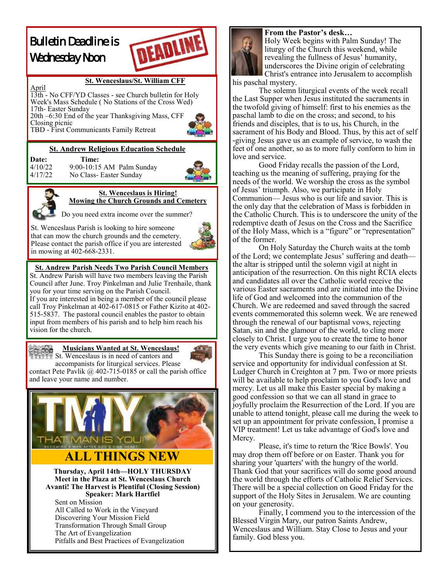## Bulletin Deadline is Wednesday Noon



## **St. Wenceslaus/St. William CFF**

April 13th - No CFF/YD Classes - see Church bulletin for Holy Week's Mass Schedule ( No Stations of the Cross Wed) 17th- Easter Sunday

20th –6:30 End of the year Thanksgiving Mass, CFF Closing picnic TBD - First Communicants Family Retreat

## **St. Andrew Religious Education Schedule**

**Date:** Time:<br>4/10/22 9:00-10:15 4/10/22 9:00-10:15 AM Palm Sunday<br>4/17/22 No Class- Easter Sunday No Class- Easter Sunday



## **St. Wenceslaus is Hiring! Mowing the Church Grounds and Cemetery**

Do you need extra income over the summer?

St. Wenceslaus Parish is looking to hire someone that can mow the church grounds and the cemetery. Please contact the parish office if you are interested in mowing at 402-668-2331.



#### **St. Andrew Parish Needs Two Parish Council Members**

St. Andrew Parish will have two members leaving the Parish Council after June. Troy Pinkelman and Julie Trenhaile, thank you for your time serving on the Parish Council. If you are interested in being a member of the council please call Troy Pinkelman at 402-617-0815 or Father Kizito at 402- 515-5837. The pastoral council enables the pastor to obtain input from members of his parish and to help him reach his vision for the church.



#### **Musicians Wanted at St. Wenceslaus!**  St. Wenceslaus is in need of cantors and



accompanists for liturgical services. Please contact Pete Pavlik  $\omega$  402-715-0185 or call the parish office and leave your name and number.



**Thursday, April 14th—HOLY THURSDAY Meet in the Plaza at St. Wenceslaus Church Avanti! The Harvest is Plentiful (Closing Session) Speaker: Mark Hartfiel**  Sent on Mission All Called to Work in the Vineyard Discovering Your Mission Field Transformation Through Small Group The Art of Evangelization

Pitfalls and Best Practices of Evangelization

underscores the Divine origin of celebrating

Christ's entrance into Jerusalem to accomplish

liturgy of the Church this weekend, while revealing the fullness of Jesus' humanity,

his paschal mystery.

The solemn liturgical events of the week recall the Last Supper when Jesus instituted the sacraments in the twofold giving of himself: first to his enemies as the paschal lamb to die on the cross; and second, to his friends and disciples, that is to us, his Church, in the sacrament of his Body and Blood. Thus, by this act of self -giving Jesus gave us an example of service, to wash the feet of one another, so as to more fully conform to him in love and service.

Good Friday recalls the passion of the Lord, teaching us the meaning of suffering, praying for the needs of the world. We worship the cross as the symbol of Jesus' triumph. Also, we participate in Holy Communion— Jesus who is our life and savior. This is the only day that the celebration of Mass is forbidden in the Catholic Church. This is to underscore the unity of the redemptive death of Jesus on the Cross and the Sacrifice of the Holy Mass, which is a "figure" or "representation" of the former.

On Holy Saturday the Church waits at the tomb of the Lord; we contemplate Jesus' suffering and death the altar is stripped until the solemn vigil at night in anticipation of the resurrection. On this night RCIA elects and candidates all over the Catholic world receive the various Easter sacraments and are initiated into the Divine life of God and welcomed into the communion of the Church. We are redeemed and saved through the sacred events commemorated this solemn week. We are renewed through the renewal of our baptismal vows, rejecting Satan, sin and the glamour of the world, to cling more closely to Christ. I urge you to create the time to honor the very events which give meaning to our faith in Christ.

This Sunday there is going to be a reconciliation service and opportunity for individual confession at St. Ludger Church in Creighton at 7 pm. Two or more priests will be available to help proclaim to you God's love and mercy. Let us all make this Easter special by making a good confession so that we can all stand in grace to joyfully proclaim the Resurrection of the Lord. If you are unable to attend tonight, please call me during the week to set up an appointment for private confession, I promise a VIP treatment! Let us take advantage of God's love and Mercy.

Please, it's time to return the 'Rice Bowls'. You may drop them off before or on Easter. Thank you for sharing your 'quarters' with the hungry of the world. Thank God that your sacrifices will do some good around the world through the efforts of Catholic Relief Services. There will be a special collection on Good Friday for the support of the Holy Sites in Jerusalem. We are counting on your generosity.

Finally, I commend you to the intercession of the Blessed Virgin Mary, our patron Saints Andrew, Wenceslaus and William. Stay Close to Jesus and your family. God bless you.

**From the Pastor's desk…** Holy Week begins with Palm Sunday! The